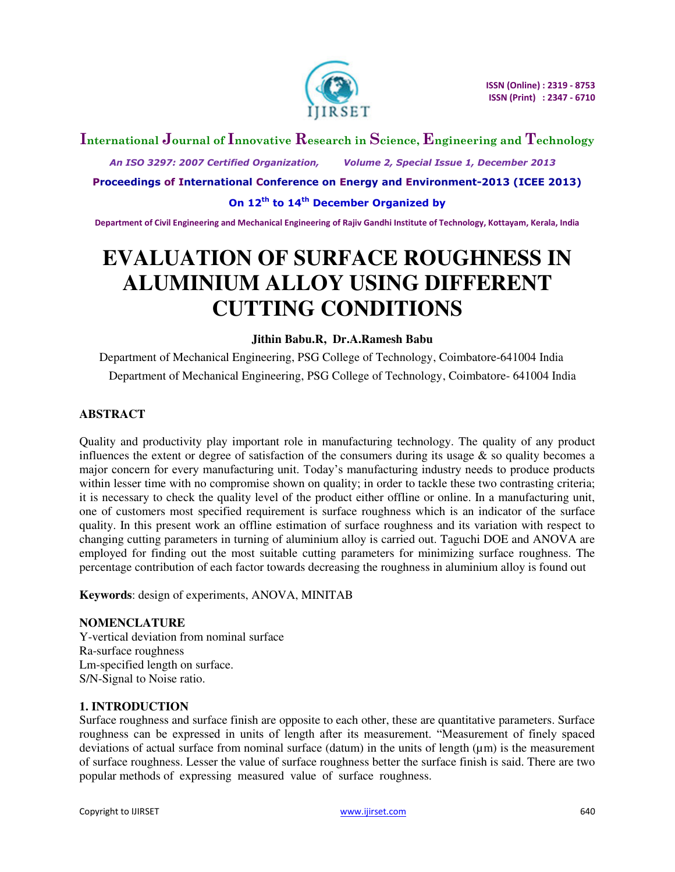

## **International Journal of Innovative Research in Science, Engineering and Technology**

 *An ISO 3297: 2007 Certified Organization, Volume 2, Special Issue 1, December 2013* 

**Proceedings of International Conference on Energy and Environment-2013 (ICEE 2013)** 

**On 12th to 14th December Organized by** 

**Department of Civil Engineering and Mechanical Engineering of Rajiv Gandhi Institute of Technology, Kottayam, Kerala, India** 

# **EVALUATION OF SURFACE ROUGHNESS IN ALUMINIUM ALLOY USING DIFFERENT CUTTING CONDITIONS**

## **Jithin Babu.R, Dr.A.Ramesh Babu**

Department of Mechanical Engineering, PSG College of Technology, Coimbatore-641004 India Department of Mechanical Engineering, PSG College of Technology, Coimbatore- 641004 India

## **ABSTRACT**

Quality and productivity play important role in manufacturing technology. The quality of any product influences the extent or degree of satisfaction of the consumers during its usage  $\&$  so quality becomes a major concern for every manufacturing unit. Today's manufacturing industry needs to produce products within lesser time with no compromise shown on quality; in order to tackle these two contrasting criteria; it is necessary to check the quality level of the product either offline or online. In a manufacturing unit, one of customers most specified requirement is surface roughness which is an indicator of the surface quality. In this present work an offline estimation of surface roughness and its variation with respect to changing cutting parameters in turning of aluminium alloy is carried out. Taguchi DOE and ANOVA are employed for finding out the most suitable cutting parameters for minimizing surface roughness. The percentage contribution of each factor towards decreasing the roughness in aluminium alloy is found out

**Keywords**: design of experiments, ANOVA, MINITAB

## **NOMENCLATURE**

Y-vertical deviation from nominal surface Ra-surface roughness Lm-specified length on surface. S/N-Signal to Noise ratio.

## **1. INTRODUCTION**

Surface roughness and surface finish are opposite to each other, these are quantitative parameters. Surface roughness can be expressed in units of length after its measurement. "Measurement of finely spaced deviations of actual surface from nominal surface (datum) in the units of length  $(\mu m)$  is the measurement of surface roughness. Lesser the value of surface roughness better the surface finish is said. There are two popular methods of expressing measured value of surface roughness.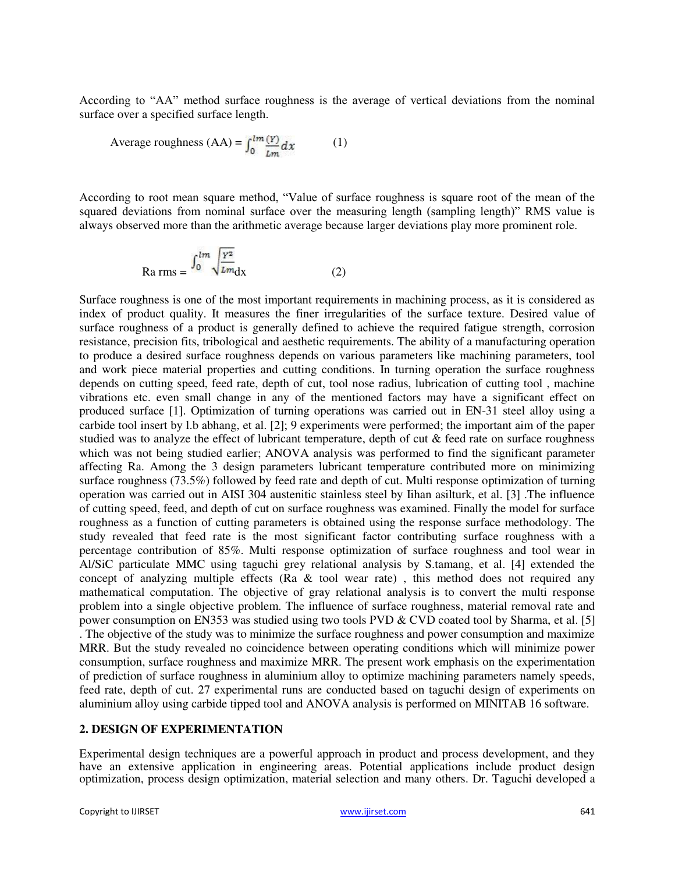According to "AA" method surface roughness is the average of vertical deviations from the nominal surface over a specified surface length.

Average roughness (AA) = 
$$
\int_0^{lm} \frac{(Y)}{Lm} dx
$$
 (1)

According to root mean square method, "Value of surface roughness is square root of the mean of the squared deviations from nominal surface over the measuring length (sampling length)" RMS value is always observed more than the arithmetic average because larger deviations play more prominent role.

$$
Ra\,rms = \frac{\int_0^{lm} \sqrt{\frac{Y^2}{Lm}} dx \tag{2}
$$

Surface roughness is one of the most important requirements in machining process, as it is considered as index of product quality. It measures the finer irregularities of the surface texture. Desired value of surface roughness of a product is generally defined to achieve the required fatigue strength, corrosion resistance, precision fits, tribological and aesthetic requirements. The ability of a manufacturing operation to produce a desired surface roughness depends on various parameters like machining parameters, tool and work piece material properties and cutting conditions. In turning operation the surface roughness depends on cutting speed, feed rate, depth of cut, tool nose radius, lubrication of cutting tool , machine vibrations etc. even small change in any of the mentioned factors may have a significant effect on produced surface [1]. Optimization of turning operations was carried out in EN-31 steel alloy using a carbide tool insert by l.b abhang, et al. [2]; 9 experiments were performed; the important aim of the paper studied was to analyze the effect of lubricant temperature, depth of cut & feed rate on surface roughness which was not being studied earlier; ANOVA analysis was performed to find the significant parameter affecting Ra. Among the 3 design parameters lubricant temperature contributed more on minimizing surface roughness (73.5%) followed by feed rate and depth of cut. Multi response optimization of turning operation was carried out in AISI 304 austenitic stainless steel by Iihan asilturk, et al. [3] .The influence of cutting speed, feed, and depth of cut on surface roughness was examined. Finally the model for surface roughness as a function of cutting parameters is obtained using the response surface methodology. The study revealed that feed rate is the most significant factor contributing surface roughness with a percentage contribution of 85%. Multi response optimization of surface roughness and tool wear in Al/SiC particulate MMC using taguchi grey relational analysis by S.tamang, et al. [4] extended the concept of analyzing multiple effects (Ra  $\&$  tool wear rate), this method does not required any mathematical computation. The objective of gray relational analysis is to convert the multi response problem into a single objective problem. The influence of surface roughness, material removal rate and power consumption on EN353 was studied using two tools PVD & CVD coated tool by Sharma, et al. [5] . The objective of the study was to minimize the surface roughness and power consumption and maximize MRR. But the study revealed no coincidence between operating conditions which will minimize power consumption, surface roughness and maximize MRR. The present work emphasis on the experimentation of prediction of surface roughness in aluminium alloy to optimize machining parameters namely speeds, feed rate, depth of cut. 27 experimental runs are conducted based on taguchi design of experiments on aluminium alloy using carbide tipped tool and ANOVA analysis is performed on MINITAB 16 software.

#### **2. DESIGN OF EXPERIMENTATION**

Experimental design techniques are a powerful approach in product and process development, and they have an extensive application in engineering areas. Potential applications include product design optimization, process design optimization, material selection and many others. Dr. Taguchi developed a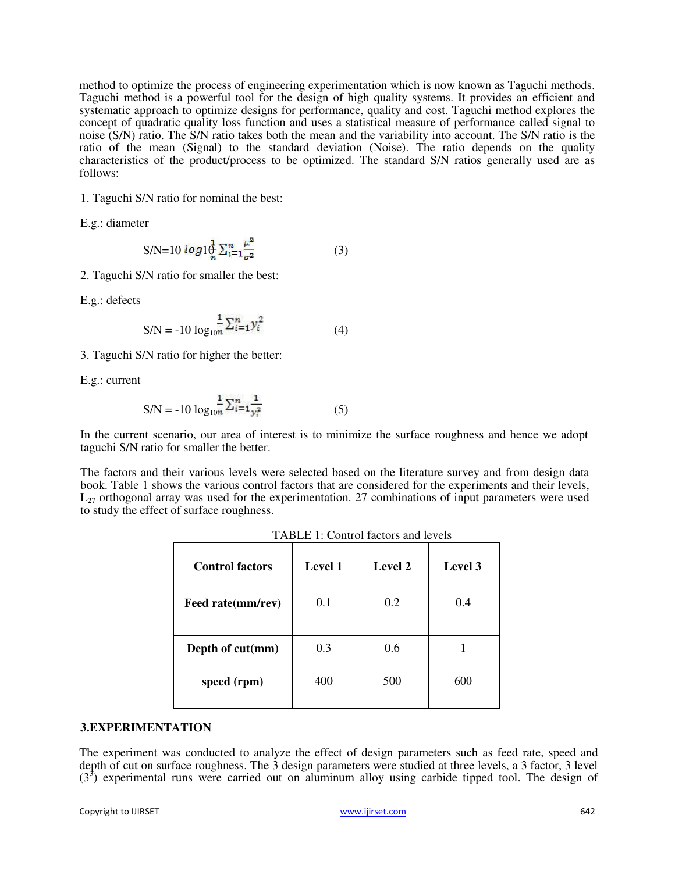method to optimize the process of engineering experimentation which is now known as Taguchi methods. Taguchi method is a powerful tool for the design of high quality systems. It provides an efficient and systematic approach to optimize designs for performance, quality and cost. Taguchi method explores the concept of quadratic quality loss function and uses a statistical measure of performance called signal to noise (S/N) ratio. The S/N ratio takes both the mean and the variability into account. The S/N ratio is the ratio of the mean (Signal) to the standard deviation (Noise). The ratio depends on the quality characteristics of the product/process to be optimized. The standard S/N ratios generally used are as follows:

1. Taguchi S/N ratio for nominal the best:

E.g.: diameter

$$
S/N=10 \log 10 \frac{1}{n} \sum_{i=1}^{n} \frac{\mu^2}{\sigma^2}
$$
 (3)

2. Taguchi S/N ratio for smaller the best:

E.g.: defects

$$
SN = -10 \log_{10} \frac{1}{n} \sum_{i=1}^{n} y_i^2
$$
 (4)

3. Taguchi S/N ratio for higher the better:

E.g.: current

$$
S/N = -10 \log_{10} \frac{1}{n} \sum_{i=1}^{n} \frac{1}{y_i^2}
$$
 (5)

In the current scenario, our area of interest is to minimize the surface roughness and hence we adopt taguchi S/N ratio for smaller the better.

The factors and their various levels were selected based on the literature survey and from design data book. Table 1 shows the various control factors that are considered for the experiments and their levels,  $L_{27}$  orthogonal array was used for the experimentation. 27 combinations of input parameters were used to study the effect of surface roughness.

| <b>Control factors</b> | Level 1 | Level 2 | Level 3 |
|------------------------|---------|---------|---------|
| Feed rate(mm/rev)      | 0.1     | 0.2     | 0.4     |
| Depth of cut(mm)       | 0.3     | 0.6     |         |
| speed (rpm)            | 400     | 500     | 600     |

TABLE 1: Control factors and levels

#### **3.EXPERIMENTATION**

The experiment was conducted to analyze the effect of design parameters such as feed rate, speed and depth of cut on surface roughness. The 3 design parameters were studied at three levels, a 3 factor, 3 level  $(3<sup>3</sup>)$  experimental runs were carried out on aluminum alloy using carbide tipped tool. The design of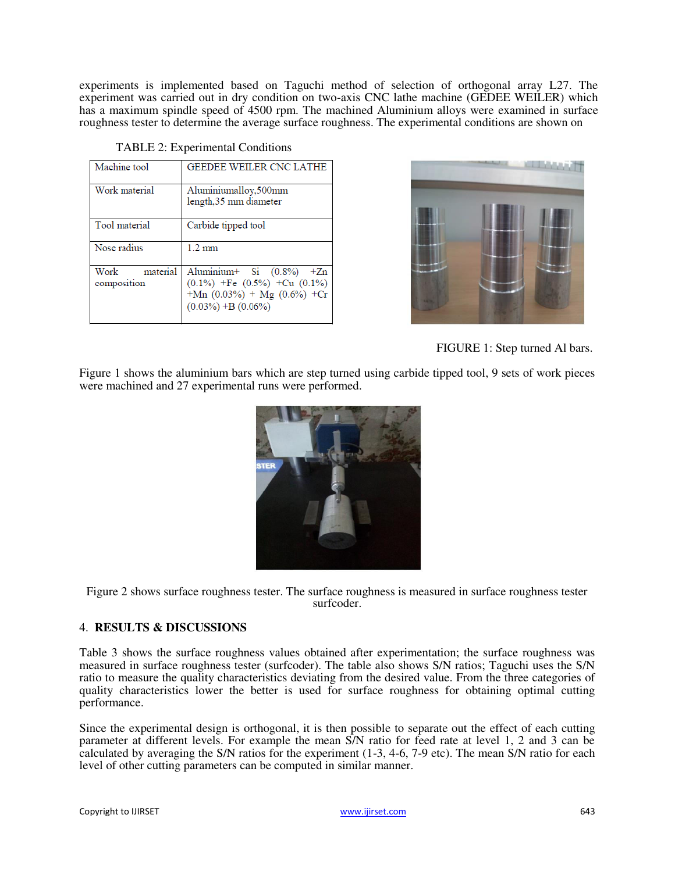experiments is implemented based on Taguchi method of selection of orthogonal array L27. The experiment was carried out in dry condition on two-axis CNC lathe machine (GEDEE WEILER) which has a maximum spindle speed of 4500 rpm. The machined Aluminium alloys were examined in surface roughness tester to determine the average surface roughness. The experimental conditions are shown on

| Machine tool                    | <b>GEEDEE WEILER CNC LATHE</b>                                                                                                   |
|---------------------------------|----------------------------------------------------------------------------------------------------------------------------------|
| Work material                   | Aluminiumalloy,500mm<br>length,35 mm diameter                                                                                    |
| Tool material                   | Carbide tipped tool                                                                                                              |
| Nose radius                     | $1.2 \text{ mm}$                                                                                                                 |
| material<br>Work<br>composition | Aluminium+ Si (0.8%) +Zn<br>$(0.1\%)$ +Fe $(0.5\%)$ +Cu $(0.1\%)$<br>+Mn $(0.03\%)$ + Mg $(0.6\%)$ +Cr<br>$(0.03\%) + B(0.06\%)$ |

TABLE 2: Experimental Conditions



FIGURE 1: Step turned Al bars.

Figure 1 shows the aluminium bars which are step turned using carbide tipped tool, 9 sets of work pieces were machined and 27 experimental runs were performed.



Figure 2 shows surface roughness tester. The surface roughness is measured in surface roughness tester surfcoder.

## 4. **RESULTS & DISCUSSIONS**

Table 3 shows the surface roughness values obtained after experimentation; the surface roughness was measured in surface roughness tester (surfcoder). The table also shows S/N ratios; Taguchi uses the S/N ratio to measure the quality characteristics deviating from the desired value. From the three categories of quality characteristics lower the better is used for surface roughness for obtaining optimal cutting performance.

Since the experimental design is orthogonal, it is then possible to separate out the effect of each cutting parameter at different levels. For example the mean S/N ratio for feed rate at level 1, 2 and 3 can be calculated by averaging the S/N ratios for the experiment (1-3, 4-6, 7-9 etc). The mean S/N ratio for each level of other cutting parameters can be computed in similar manner.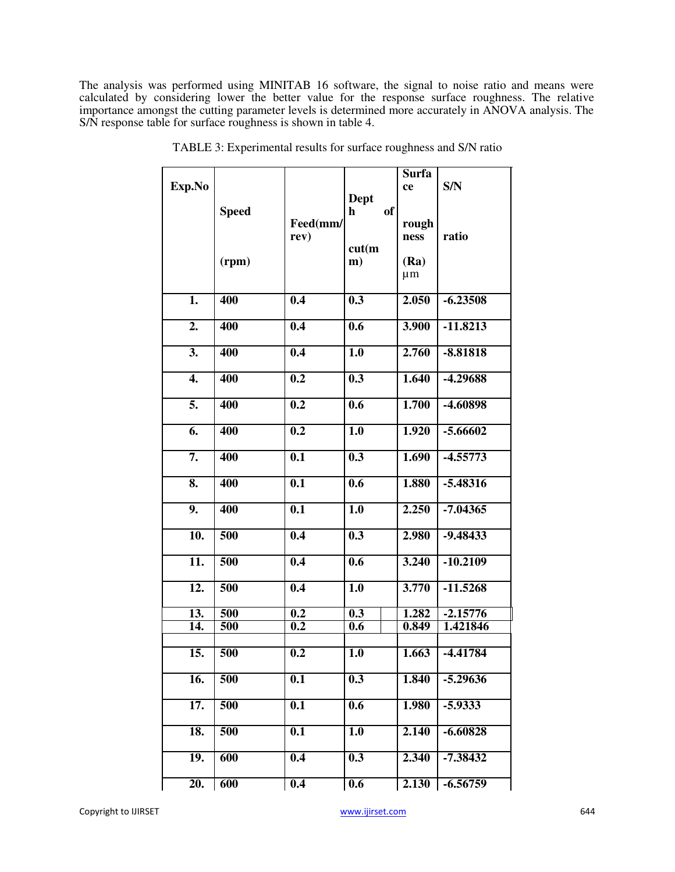The analysis was performed using MINITAB 16 software, the signal to noise ratio and means were calculated by considering lower the better value for the response surface roughness. The relative importance amongst the cutting parameter levels is determined more accurately in ANOVA analysis. The S/N response table for surface roughness is shown in table 4.

|                           |                  |                  |                            | <b>Surfa</b>   |            |
|---------------------------|------------------|------------------|----------------------------|----------------|------------|
| Exp.No                    |                  |                  |                            | ce             | S/N        |
|                           | <b>Speed</b>     |                  | Dept<br>of<br>$\mathbf{h}$ |                |            |
|                           |                  | Feed(mm/         |                            | rough          |            |
|                           |                  | rev)             |                            | ness           | ratio      |
|                           |                  |                  | cut(m)                     |                |            |
|                           | (rpm)            |                  | m)                         | (Ra)           |            |
|                           |                  |                  |                            | $\mu$ m        |            |
|                           |                  |                  |                            |                |            |
| $\overline{1}$ .          | 400              | 0.4              | $\overline{0.3}$           | 2.050          | $-6.23508$ |
|                           |                  |                  |                            |                |            |
| $\overline{2}$ .          | 400              | 0.4              | $\overline{0.6}$           | 3.900          | $-11.8213$ |
|                           |                  |                  |                            |                |            |
| $\overline{3}$ .          | 400              | 0.4              | 1.0                        | 2.760          | $-8.81818$ |
|                           |                  |                  |                            |                |            |
| $\overline{4}$ .          | 400              | 0.2              | 0.3                        | 1.640          | -4.29688   |
| 5.                        |                  |                  |                            |                |            |
|                           | 400              | $\overline{0.2}$ | 0.6                        | 1.700          | -4.60898   |
| 6.                        | 400              | 0.2              | 1.0                        | 1.920          | $-5.66602$ |
|                           |                  |                  |                            |                |            |
| 7.                        | 400              | 0.1              | 0.3                        | 1.690          | $-4.55773$ |
|                           |                  |                  |                            |                |            |
| $\overline{\mathbf{8}}$ . | 400              | 0.1              | 0.6                        | 1.880          | $-5.48316$ |
|                           |                  |                  |                            |                |            |
| 9.                        | 400              | 0.1              | 1.0                        | 2.250          | $-7.04365$ |
|                           |                  |                  |                            |                |            |
| $\overline{10}$ .         | 500              | 0.4              | 0.3                        | 2.980          | $-9.48433$ |
|                           |                  |                  |                            |                |            |
| $\overline{11}$ .         | 500              | 0.4              | 0.6                        | 3.240          | $-10.2109$ |
|                           |                  |                  |                            |                |            |
| $\overline{12}$ .         | 500              | 0.4              | 1.0                        | 3.770          | $-11.5268$ |
|                           |                  |                  |                            |                |            |
| $\overline{13}$ .         | 500              | 0.2              | 0.3                        | 1.282<br>0.849 | $-2.15776$ |
| 14.                       | 500              | 0.2              | 0.6                        |                | 1.421846   |
| 15.                       | 500              | $\overline{0.2}$ | $\overline{1.0}$           | 1.663          | $-4.41784$ |
|                           |                  |                  |                            |                |            |
| 16.                       | 500              | 0.1              | 0.3                        | 1.840          | $-5.29636$ |
|                           |                  |                  |                            |                |            |
| 17.                       | 500              | 0.1              | 0.6                        | 1.980          | $-5.9333$  |
|                           |                  |                  |                            |                |            |
| 18.                       | 500              | 0.1              | 1.0                        | 2.140          | $-6.60828$ |
|                           |                  |                  |                            |                |            |
| $\overline{19}$ .         | 600              | 0.4              | $\overline{0.3}$           | 2.340          | $-7.38432$ |
|                           |                  |                  |                            |                |            |
| 20.                       | $\overline{600}$ | 0.4              | 0.6                        | 2.130          | $-6.56759$ |

TABLE 3: Experimental results for surface roughness and S/N ratio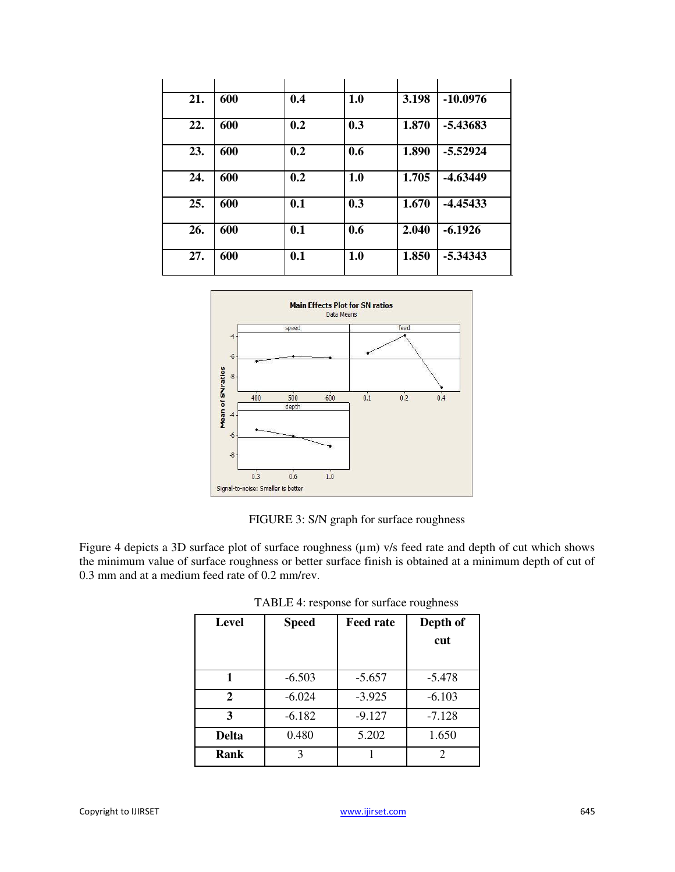| 21. | 600 | 0.4 | 1.0 | 3.198 | $-10.0976$ |
|-----|-----|-----|-----|-------|------------|
| 22. | 600 | 0.2 | 0.3 | 1.870 | -5.43683   |
| 23. | 600 | 0.2 | 0.6 | 1.890 | $-5.52924$ |
| 24. | 600 | 0.2 | 1.0 | 1.705 | $-4.63449$ |
| 25. | 600 | 0.1 | 0.3 | 1.670 | $-4.45433$ |
| 26. | 600 | 0.1 | 0.6 | 2.040 | $-6.1926$  |
| 27. | 600 | 0.1 | 1.0 | 1.850 | $-5.34343$ |



FIGURE 3: S/N graph for surface roughness

Figure 4 depicts a 3D surface plot of surface roughness ( $\mu$ m) v/s feed rate and depth of cut which shows the minimum value of surface roughness or better surface finish is obtained at a minimum depth of cut of 0.3 mm and at a medium feed rate of 0.2 mm/rev.

| <b>Level</b> | <b>Speed</b> | <b>Feed rate</b> | Depth of |
|--------------|--------------|------------------|----------|
|              |              |                  | cut      |
|              |              |                  |          |
|              | $-6.503$     | $-5.657$         | $-5.478$ |
| 2            | $-6.024$     | $-3.925$         | $-6.103$ |
| 3            | $-6.182$     | $-9.127$         | $-7.128$ |
| <b>Delta</b> | 0.480        | 5.202            | 1.650    |
| Rank         | 3            |                  |          |

TABLE 4: response for surface roughness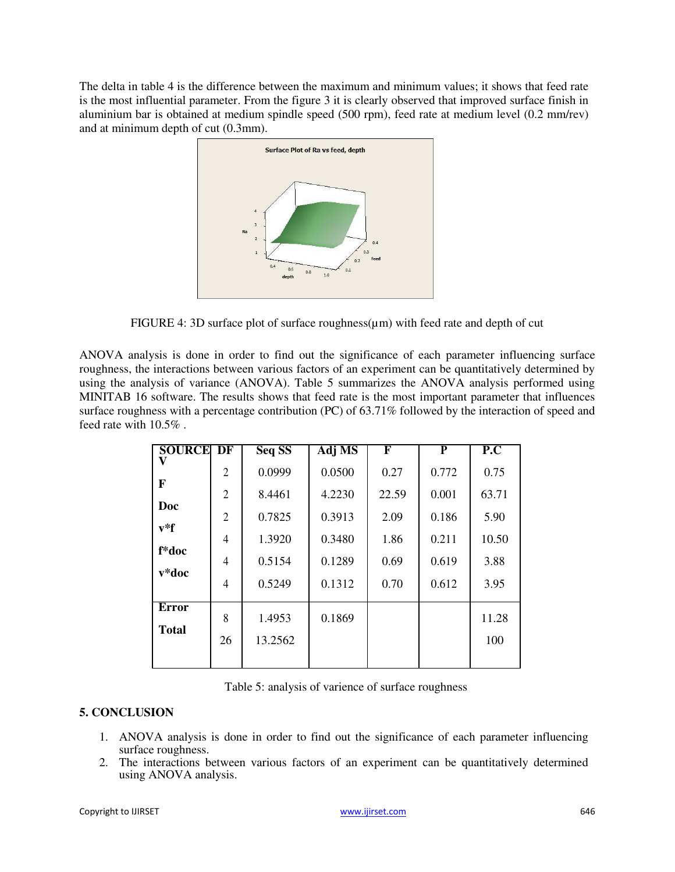The delta in table 4 is the difference between the maximum and minimum values; it shows that feed rate is the most influential parameter. From the figure 3 it is clearly observed that improved surface finish in aluminium bar is obtained at medium spindle speed (500 rpm), feed rate at medium level (0.2 mm/rev) and at minimum depth of cut (0.3mm).



FIGURE 4: 3D surface plot of surface roughness( $\mu$ m) with feed rate and depth of cut

ANOVA analysis is done in order to find out the significance of each parameter influencing surface roughness, the interactions between various factors of an experiment can be quantitatively determined by using the analysis of variance (ANOVA). Table 5 summarizes the ANOVA analysis performed using MINITAB 16 software. The results shows that feed rate is the most important parameter that influences surface roughness with a percentage contribution (PC) of 63.71% followed by the interaction of speed and feed rate with 10.5% .

| <b>SOURCE DF</b> |                | <b>Seq SS</b> | <b>Adj MS</b> | F     | P     | P.C   |
|------------------|----------------|---------------|---------------|-------|-------|-------|
|                  | $\overline{2}$ | 0.0999        | 0.0500        | 0.27  | 0.772 | 0.75  |
| F                | $\overline{2}$ | 8.4461        | 4.2230        | 22.59 | 0.001 | 63.71 |
| Doc              | $\overline{2}$ | 0.7825        | 0.3913        | 2.09  | 0.186 | 5.90  |
| $v^*f$           | 4              | 1.3920        | 0.3480        | 1.86  | 0.211 | 10.50 |
| f*doc            | 4              | 0.5154        | 0.1289        | 0.69  | 0.619 | 3.88  |
| $v*doc$          | 4              | 0.5249        | 0.1312        | 0.70  | 0.612 | 3.95  |
| Error            | 8              | 1.4953        | 0.1869        |       |       | 11.28 |
| <b>Total</b>     | 26             | 13.2562       |               |       |       | 100   |
|                  |                |               |               |       |       |       |

Table 5: analysis of varience of surface roughness

## **5. CONCLUSION**

- 1. ANOVA analysis is done in order to find out the significance of each parameter influencing surface roughness.
- 2. The interactions between various factors of an experiment can be quantitatively determined using ANOVA analysis.